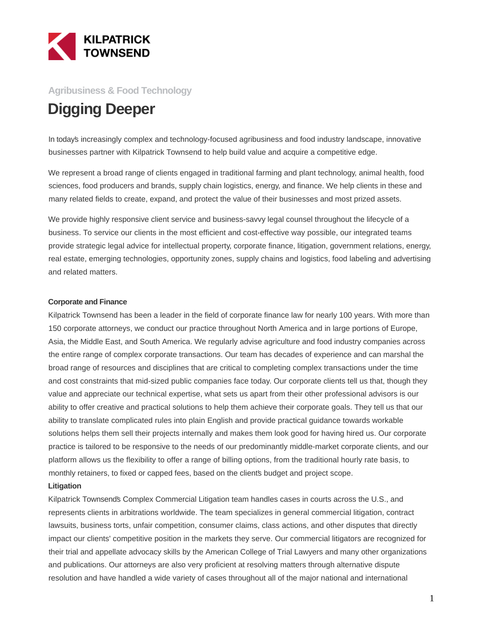

# **Agribusiness & Food Technology**

# **Digging Deeper**

In today's increasingly complex and technology-focused agribusiness and food industry landscape, innovative businesses partner with Kilpatrick Townsend to help build value and acquire a competitive edge.

We represent a broad range of clients engaged in traditional farming and plant technology, animal health, food sciences, food producers and brands, supply chain logistics, energy, and finance. We help clients in these and many related fields to create, expand, and protect the value of their businesses and most prized assets.

We provide highly responsive client service and business-savvy legal counsel throughout the lifecycle of a business. To service our clients in the most efficient and cost-effective way possible, our integrated teams provide strategic legal advice for intellectual property, corporate finance, litigation, government relations, energy, real estate, emerging technologies, opportunity zones, supply chains and logistics, food labeling and advertising and related matters.

#### **Corporate and Finance**

Kilpatrick Townsend has been a leader in the field of corporate finance law for nearly 100 years. With more than 150 corporate attorneys, we conduct our practice throughout North America and in large portions of Europe, Asia, the Middle East, and South America. We regularly advise agriculture and food industry companies across the entire range of complex corporate transactions. Our team has decades of experience and can marshal the broad range of resources and disciplines that are critical to completing complex transactions under the time and cost constraints that mid-sized public companies face today. Our corporate clients tell us that, though they value and appreciate our technical expertise, what sets us apart from their other professional advisors is our ability to offer creative and practical solutions to help them achieve their corporate goals. They tell us that our ability to translate complicated rules into plain English and provide practical guidance towards workable solutions helps them sell their projects internally and makes them look good for having hired us. Our corporate practice is tailored to be responsive to the needs of our predominantly middle-market corporate clients, and our platform allows us the flexibility to offer a range of billing options, from the traditional hourly rate basis, to monthly retainers, to fixed or capped fees, based on the clients budget and project scope.

#### **Litigation**

Kilpatrick Townsend's Complex Commercial Litigation team handles cases in courts across the U.S., and represents clients in arbitrations worldwide. The team specializes in general commercial litigation, contract lawsuits, business torts, unfair competition, consumer claims, class actions, and other disputes that directly impact our clients' competitive position in the markets they serve. Our commercial litigators are recognized for their trial and appellate advocacy skills by the American College of Trial Lawyers and many other organizations and publications. Our attorneys are also very proficient at resolving matters through alternative dispute resolution and have handled a wide variety of cases throughout all of the major national and international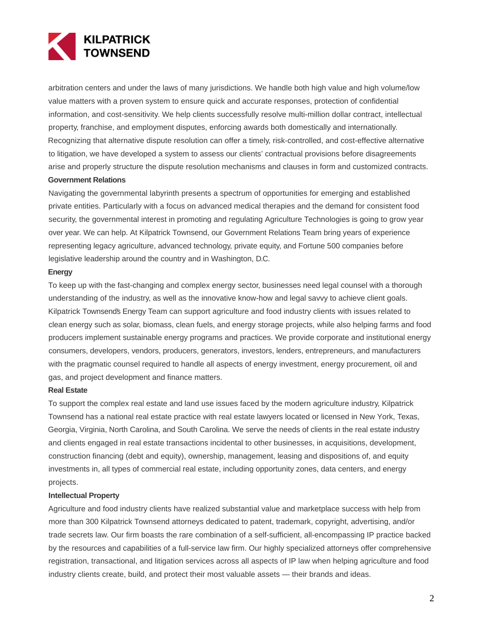

arbitration centers and under the laws of many jurisdictions. We handle both high value and high volume/low value matters with a proven system to ensure quick and accurate responses, protection of confidential information, and cost-sensitivity. We help clients successfully resolve multi-million dollar contract, intellectual property, franchise, and employment disputes, enforcing awards both domestically and internationally. Recognizing that alternative dispute resolution can offer a timely, risk-controlled, and cost-effective alternative to litigation, we have developed a system to assess our clients' contractual provisions before disagreements arise and properly structure the dispute resolution mechanisms and clauses in form and customized contracts.

#### **Government Relations**

Navigating the governmental labyrinth presents a spectrum of opportunities for emerging and established private entities. Particularly with a focus on advanced medical therapies and the demand for consistent food security, the governmental interest in promoting and regulating Agriculture Technologies is going to grow year over year. We can help. At Kilpatrick Townsend, our Government Relations Team bring years of experience representing legacy agriculture, advanced technology, private equity, and Fortune 500 companies before legislative leadership around the country and in Washington, D.C.

#### **Energy**

To keep up with the fast-changing and complex energy sector, businesses need legal counsel with a thorough understanding of the industry, as well as the innovative know-how and legal savvy to achieve client goals. Kilpatrick Townsend's Energy Team can support agriculture and food industry clients with issues related to clean energy such as solar, biomass, clean fuels, and energy storage projects, while also helping farms and food producers implement sustainable energy programs and practices. We provide corporate and institutional energy consumers, developers, vendors, producers, generators, investors, lenders, entrepreneurs, and manufacturers with the pragmatic counsel required to handle all aspects of energy investment, energy procurement, oil and gas, and project development and finance matters.

#### **Real Estate**

To support the complex real estate and land use issues faced by the modern agriculture industry, Kilpatrick Townsend has a national real estate practice with real estate lawyers located or licensed in New York, Texas, Georgia, Virginia, North Carolina, and South Carolina. We serve the needs of clients in the real estate industry and clients engaged in real estate transactions incidental to other businesses, in acquisitions, development, construction financing (debt and equity), ownership, management, leasing and dispositions of, and equity investments in, all types of commercial real estate, including opportunity zones, data centers, and energy projects.

#### **Intellectual Property**

Agriculture and food industry clients have realized substantial value and marketplace success with help from more than 300 Kilpatrick Townsend attorneys dedicated to patent, trademark, copyright, advertising, and/or trade secrets law. Our firm boasts the rare combination of a self-sufficient, all-encompassing IP practice backed by the resources and capabilities of a full-service law firm. Our highly specialized attorneys offer comprehensive registration, transactional, and litigation services across all aspects of IP law when helping agriculture and food industry clients create, build, and protect their most valuable assets — their brands and ideas.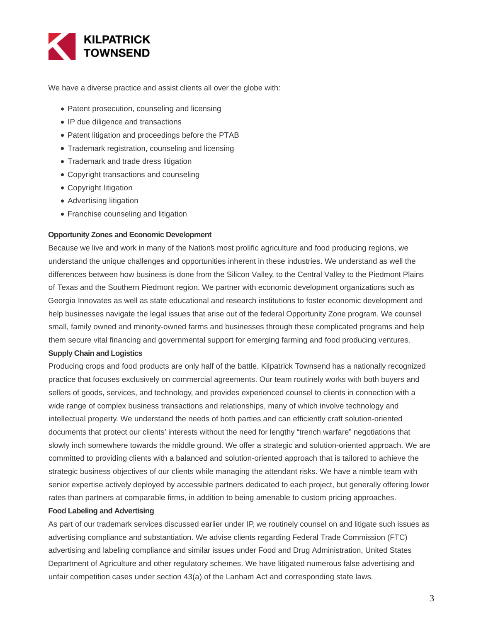

We have a diverse practice and assist clients all over the globe with:

- Patent prosecution, counseling and licensing
- IP due diligence and transactions
- Patent litigation and proceedings before the PTAB
- Trademark registration, counseling and licensing
- Trademark and trade dress litigation
- Copyright transactions and counseling
- Copyright litigation
- Advertising litigation
- Franchise counseling and litigation

#### **Opportunity Zones and Economic Development**

Because we live and work in many of the Nation's most prolific agriculture and food producing regions, we understand the unique challenges and opportunities inherent in these industries. We understand as well the differences between how business is done from the Silicon Valley, to the Central Valley to the Piedmont Plains of Texas and the Southern Piedmont region. We partner with economic development organizations such as Georgia Innovates as well as state educational and research institutions to foster economic development and help businesses navigate the legal issues that arise out of the federal Opportunity Zone program. We counsel small, family owned and minority-owned farms and businesses through these complicated programs and help them secure vital financing and governmental support for emerging farming and food producing ventures.

#### **Supply Chain and Logistics**

Producing crops and food products are only half of the battle. Kilpatrick Townsend has a nationally recognized practice that focuses exclusively on commercial agreements. Our team routinely works with both buyers and sellers of goods, services, and technology, and provides experienced counsel to clients in connection with a wide range of complex business transactions and relationships, many of which involve technology and intellectual property. We understand the needs of both parties and can efficiently craft solution-oriented documents that protect our clients' interests without the need for lengthy "trench warfare" negotiations that slowly inch somewhere towards the middle ground. We offer a strategic and solution-oriented approach. We are committed to providing clients with a balanced and solution-oriented approach that is tailored to achieve the strategic business objectives of our clients while managing the attendant risks. We have a nimble team with senior expertise actively deployed by accessible partners dedicated to each project, but generally offering lower rates than partners at comparable firms, in addition to being amenable to custom pricing approaches.

#### **Food Labeling and Advertising**

As part of our trademark services discussed earlier under IP, we routinely counsel on and litigate such issues as advertising compliance and substantiation. We advise clients regarding Federal Trade Commission (FTC) advertising and labeling compliance and similar issues under Food and Drug Administration, United States Department of Agriculture and other regulatory schemes. We have litigated numerous false advertising and unfair competition cases under section 43(a) of the Lanham Act and corresponding state laws.